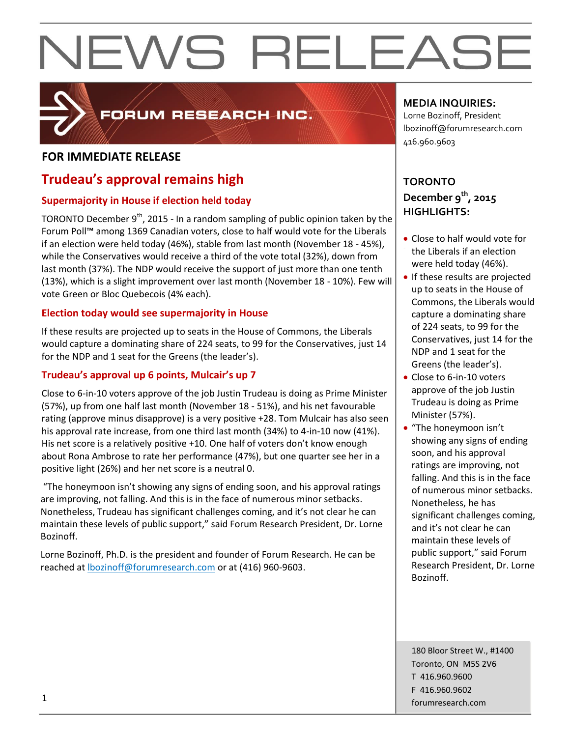

### FORUM RESEARCH INC.

### **FOR IMMEDIATE RELEASE**

### **Trudeau's approval remains high**

#### **Supermajority in House if election held today**

TORONTO December  $9<sup>th</sup>$ , 2015 - In a random sampling of public opinion taken by the Forum Poll™ among 1369 Canadian voters, close to half would vote for the Liberals if an election were held today (46%), stable from last month (November 18 - 45%), while the Conservatives would receive a third of the vote total (32%), down from last month (37%). The NDP would receive the support of just more than one tenth (13%), which is a slight improvement over last month (November 18 - 10%). Few will vote Green or Bloc Quebecois (4% each).

#### **Election today would see supermajority in House**

If these results are projected up to seats in the House of Commons, the Liberals would capture a dominating share of 224 seats, to 99 for the Conservatives, just 14 for the NDP and 1 seat for the Greens (the leader's).

#### **Trudeau's approval up 6 points, Mulcair's up 7**

Close to 6-in-10 voters approve of the job Justin Trudeau is doing as Prime Minister (57%), up from one half last month (November 18 - 51%), and his net favourable rating (approve minus disapprove) is a very positive +28. Tom Mulcair has also seen his approval rate increase, from one third last month (34%) to 4-in-10 now (41%). His net score is a relatively positive +10. One half of voters don't know enough about Rona Ambrose to rate her performance (47%), but one quarter see her in a positive light (26%) and her net score is a neutral 0.

"The honeymoon isn't showing any signs of ending soon, and his approval ratings are improving, not falling. And this is in the face of numerous minor setbacks. Nonetheless, Trudeau has significant challenges coming, and it's not clear he can maintain these levels of public support," said Forum Research President, Dr. Lorne Bozinoff.

Lorne Bozinoff, Ph.D. is the president and founder of Forum Research. He can be reached at **bozinoff@forumresearch.com** or at (416) 960-9603.

#### **MEDIA INQUIRIES:**

Lorne Bozinoff, President lbozinoff@forumresearch.com 416.960.9603

#### **TORONTO December 9th, 2015 HIGHLIGHTS:**

- Close to half would vote for the Liberals if an election were held today (46%).
- If these results are projected up to seats in the House of Commons, the Liberals would capture a dominating share of 224 seats, to 99 for the Conservatives, just 14 for the NDP and 1 seat for the Greens (the leader's).
- Close to 6-in-10 voters approve of the job Justin Trudeau is doing as Prime Minister (57%).
- "The honeymoon isn't showing any signs of ending soon, and his approval ratings are improving, not falling. And this is in the face of numerous minor setbacks. Nonetheless, he has significant challenges coming, and it's not clear he can maintain these levels of public support," said Forum Research President, Dr. Lorne Bozinoff.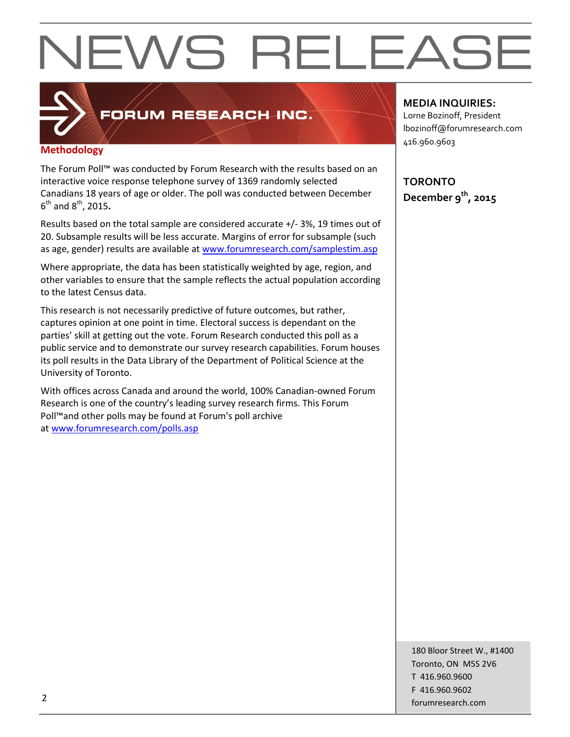

### FORUM RESEARCH INC.

#### **Methodology**

The Forum Poll™ was conducted by Forum Research with the results based on an interactive voice response telephone survey of 1369 randomly selected Canadians 18 years of age or older. The poll was conducted between December 6 th and 8th, 2015**.**

Results based on the total sample are considered accurate +/- 3%, 19 times out of 20. Subsample results will be less accurate. Margins of error for subsample (such as age, gender) results are available at [www.forumresearch.com/samplestim.asp](http://www.forumresearch.com/samplestim.asp)

Where appropriate, the data has been statistically weighted by age, region, and other variables to ensure that the sample reflects the actual population according to the latest Census data.

This research is not necessarily predictive of future outcomes, but rather, captures opinion at one point in time. Electoral success is dependant on the parties' skill at getting out the vote. Forum Research conducted this poll as a public service and to demonstrate our survey research capabilities. Forum houses its poll results in the Data Library of the Department of Political Science at the University of Toronto.

With offices across Canada and around the world, 100% Canadian-owned Forum Research is one of the country's leading survey research firms. This Forum Poll™and other polls may be found at Forum's poll archive at [www.forumresearch.com/polls.asp](http://www.forumresearch.com/polls.asp)

#### **MEDIA INQUIRIES:**

Lorne Bozinoff, President lbozinoff@forumresearch.com 416.960.9603

**TORONTO December 9th, 2015**

180 Bloor Street W., #1400 Toronto, ON M5S 2V6 T 416.960.9600 F 416.960.9602 example to the contract of the contract of the contract of the contract of the contract of the contract of the contract of the contract of the contract of the contract of the contract of the contract of the contract of the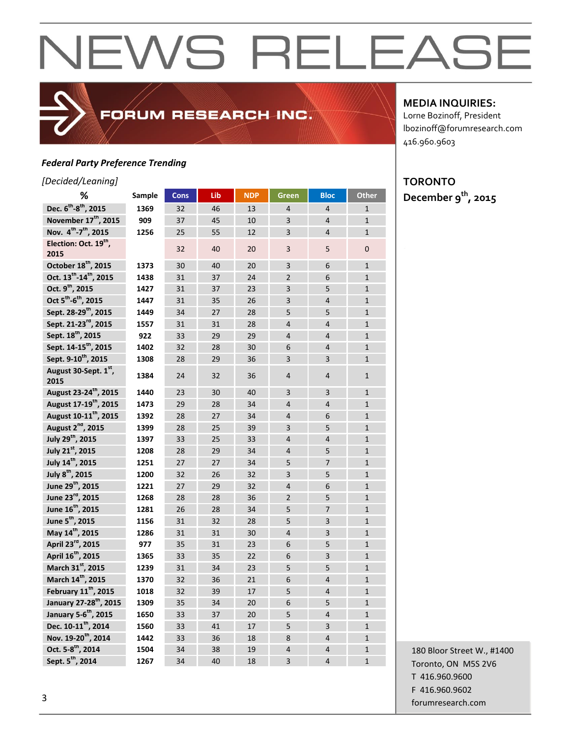#### *Federal Party Preference Trending*

#### *[Decided/Leaning]*

| -cunniy<br>%                                   | Sample | <b>Cons</b> | Lib | <b>NDP</b> | <b>Green</b>   | <b>Bloc</b>    | <b>Other</b>   |
|------------------------------------------------|--------|-------------|-----|------------|----------------|----------------|----------------|
| Dec. 6 <sup>th</sup> -8 <sup>th</sup> , 2015   |        |             |     |            | $\overline{4}$ |                |                |
| November 17 <sup>th</sup> , 2015               | 1369   | 32          | 46  | 13         |                | $\overline{4}$ | $\mathbf{1}$   |
| Nov. 4 <sup>th</sup> -7 <sup>th</sup> , 2015   | 909    | 37          | 45  | 10         | $\overline{3}$ | $\overline{4}$ | $\mathbf{1}$   |
|                                                | 1256   | 25          | 55  | 12         | $\overline{3}$ | $\overline{4}$ | $\mathbf{1}$   |
| Election: Oct. 19 <sup>th</sup> ,<br>2015      |        | 32          | 40  | 20         | $\overline{3}$ | 5              | $\mathbf{0}$   |
| October 18 <sup>th</sup> , 2015                | 1373   | 30          | 40  | 20         | 3              | 6              | $\mathbf{1}$   |
| Oct. 13 <sup>th</sup> -14 <sup>th</sup> , 2015 | 1438   | 31          | 37  | 24         | $\overline{2}$ | 6              | $\mathbf{1}$   |
| Oct. 9 <sup>th</sup> , 2015                    | 1427   | 31          | 37  | 23         | 3              | 5              | $\mathbf{1}$   |
| Oct 5 <sup>th</sup> -6 <sup>th</sup> , 2015    | 1447   | 31          | 35  | 26         | 3              | $\overline{4}$ | $\mathbf{1}$   |
| Sept. 28-29 <sup>th</sup> , 2015               | 1449   | 34          | 27  | 28         | 5              | 5              | $\overline{1}$ |
| Sept. 21-23 <sup>rd</sup> , 2015               | 1557   | 31          | 31  | 28         | $\overline{4}$ | $\overline{4}$ | $\mathbf{1}$   |
| Sept. 18 <sup>th</sup> , 2015                  | 922    | 33          | 29  | 29         | $\overline{4}$ | $\overline{4}$ | $\mathbf{1}$   |
| Sept. 14-15 <sup>th</sup> , 2015               | 1402   | 32          | 28  | 30         | 6              | $\overline{4}$ | $\mathbf{1}$   |
| Sept. 9-10 <sup>th</sup> , 2015                | 1308   | 28          | 29  | 36         | $\overline{3}$ | 3              | $\mathbf{1}$   |
| August 30-Sept. 1st<br>2015                    | 1384   | 24          | 32  | 36         | $\overline{4}$ | $\overline{4}$ | $\mathbf{1}$   |
| August 23-24 <sup>th</sup> , 2015              | 1440   | 23          | 30  | 40         | 3              | 3              | $\mathbf{1}$   |
| August 17-19 <sup>th</sup> , 2015              | 1473   | 29          | 28  | 34         | $\overline{4}$ | $\overline{4}$ | $\mathbf{1}$   |
| August 10-11 <sup>th</sup> , 2015              | 1392   | 28          | 27  | 34         | $\overline{4}$ | 6              | $\mathbf{1}$   |
| August 2 <sup>nd</sup> , 2015                  | 1399   | 28          | 25  | 39         | 3              | 5              | $\overline{1}$ |
| July 29 <sup>th</sup> , 2015                   | 1397   | 33          | 25  | 33         | $\overline{4}$ | $\overline{4}$ | $\mathbf{1}$   |
| July 21st, 2015                                | 1208   | 28          | 29  | 34         | $\overline{4}$ | 5              | $\mathbf{1}$   |
| July 14 <sup>th</sup> , 2015                   | 1251   | 27          | 27  | 34         | 5              | $\overline{7}$ | $\mathbf{1}$   |
| July 8 <sup>th</sup> , 2015                    | 1200   | 32          | 26  | 32         | $\overline{3}$ | 5              | $\mathbf{1}$   |
| June 29 <sup>th</sup> , 2015                   | 1221   | 27          | 29  | 32         | $\overline{4}$ | 6              | $\overline{1}$ |
| June 23rd, 2015                                | 1268   | 28          | 28  | 36         | $\overline{2}$ | 5              | $\mathbf{1}$   |
| June 16 <sup>th</sup> , 2015                   | 1281   | 26          | 28  | 34         | 5              | $\overline{7}$ | $\mathbf{1}$   |
| June 5 <sup>th</sup> , 2015                    | 1156   | 31          | 32  | 28         | 5              | 3              | $\mathbf 1$    |
| May 14th, 2015                                 | 1286   | 31          | 31  | 30         | $\overline{4}$ | $\overline{3}$ | $\mathbf{1}$   |
| April 23 <sup>rd</sup> , 2015                  | 977    | 35          | 31  | 23         | 6              | 5              | $\overline{1}$ |
| April 16 <sup>th</sup> , 2015                  | 1365   | 33          | 35  | 22         | 6              | $\overline{3}$ | $\mathbf{1}$   |
| March 31st, 2015                               | 1239   | 31          | 34  | 23         | 5              | 5              | $\mathbf{1}$   |
| March 14 <sup>th</sup> , 2015                  | 1370   | 32          | 36  | 21         | 6              | $\overline{4}$ | $\mathbf{1}$   |
| February 11 <sup>th</sup> , 2015               | 1018   | 32          | 39  | 17         | 5              | $\overline{4}$ | $\mathbf{1}$   |
| January 27-28th, 2015                          | 1309   | 35          | 34  | 20         | 6              | 5              | $\mathbf{1}$   |
| January 5-6 <sup>th</sup> , 2015               | 1650   | 33          | 37  | 20         | 5              | $\overline{4}$ | $\mathbf{1}$   |
| Dec. 10-11 <sup>th</sup> , 2014                | 1560   | 33          | 41  | 17         | 5              | $\overline{3}$ | $\mathbf{1}$   |
| Nov. 19-20 <sup>th</sup> , 2014                | 1442   | 33          | 36  | 18         | 8              | $\overline{4}$ | $\mathbf{1}$   |
| Oct. 5-8 <sup>th</sup> , 2014                  | 1504   | 34          | 38  | 19         | $\overline{4}$ | $\overline{4}$ | $\mathbf{1}$   |
| Sept. 5 <sup>th</sup> , 2014                   | 1267   | 34          | 40  | 18         | 3              | $\overline{4}$ | $\mathbf{1}$   |

FORUM RESEARCH INC.

#### **MEDIA INQUIRIES:**

Lorne Bozinoff, President lbozinoff@forumresearch.com 416.960.9603

### **TORONTO**

**December 9th, 2015**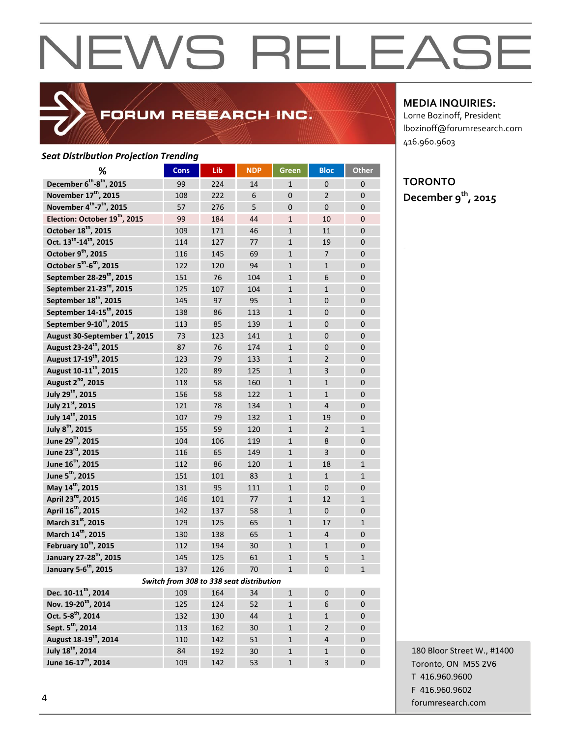

### FORUM RESEARCH INC.

#### *Seat Distribution Projection Trending*

| ℅                                                | <b>Cons</b> | Lib                                      | <b>NDP</b> | Green          | <b>Bloc</b>    | <b>Other</b>   |
|--------------------------------------------------|-------------|------------------------------------------|------------|----------------|----------------|----------------|
| December 6 <sup>th</sup> -8 <sup>th</sup> , 2015 | 99          | 224                                      | 14         | $\mathbf{1}$   | $\mathbf{0}$   | $\Omega$       |
| November 17 <sup>th</sup> , 2015                 | 108         | 222                                      | 6          | $\overline{0}$ | $\overline{2}$ | $\overline{0}$ |
| November 4th-7 <sup>th</sup> , 2015              | 57          | 276                                      | 5          | $\mathbf{0}$   | $\mathbf{0}$   | $\mathbf{0}$   |
| Election: October 19 <sup>th</sup> , 2015        | 99          | 184                                      | 44         | $\mathbf{1}$   | 10             | $\mathbf{0}$   |
| October 18 <sup>th</sup> , 2015                  | 109         | 171                                      | 46         | $\mathbf{1}$   | 11             | $\mathbf{0}$   |
| Oct. 13 <sup>th</sup> -14 <sup>th</sup> , 2015   | 114         | 127                                      | 77         | $\mathbf{1}$   | 19             | $\Omega$       |
| October 9 <sup>th</sup> , 2015                   | 116         | 145                                      | 69         | $\mathbf{1}$   | $\overline{7}$ | $\overline{0}$ |
| October 5 <sup>th</sup> -6 <sup>th</sup> , 2015  | 122         | 120                                      | 94         | $\mathbf{1}$   | $\mathbf{1}$   | $\overline{0}$ |
| September 28-29 <sup>th</sup> , 2015             | 151         | 76                                       | 104        | $\mathbf{1}$   | 6              | $\mathbf 0$    |
| September 21-23 <sup>rd</sup> , 2015             | 125         | 107                                      | 104        | $\mathbf{1}$   | $\mathbf{1}$   | $\overline{0}$ |
| September 18 <sup>th</sup> , 2015                | 145         | 97                                       | 95         | $\mathbf{1}$   | $\Omega$       | $\overline{0}$ |
| September 14-15 <sup>th</sup> , 2015             | 138         | 86                                       | 113        | $\mathbf{1}$   | $\Omega$       | $\overline{0}$ |
| September 9-10 <sup>th</sup> , 2015              | 113         | 85                                       | 139        | $\mathbf{1}$   | $\mathbf{0}$   | $\overline{0}$ |
| August 30-September 1st, 2015                    | 73          | 123                                      | 141        | $\mathbf{1}$   | $\mathbf{0}$   | $\overline{0}$ |
| August 23-24 <sup>th</sup> , 2015                | 87          | 76                                       | 174        | $\mathbf{1}$   | $\mathbf{0}$   | $\mathbf{0}$   |
| August 17-19 <sup>th</sup> , 2015                | 123         | 79                                       | 133        | $\mathbf{1}$   | $\overline{2}$ | $\mathbf{0}$   |
| August 10-11 <sup>th</sup> , 2015                | 120         | 89                                       | 125        | $\mathbf{1}$   | 3              | $\mathbf{0}$   |
| August 2 <sup>nd</sup> , 2015                    | 118         | 58                                       | 160        | $\mathbf{1}$   | $\mathbf{1}$   | $\overline{0}$ |
| July 29 <sup>th</sup> , 2015                     | 156         | 58                                       | 122        | $\mathbf{1}$   | $\mathbf{1}$   | $\overline{0}$ |
| July 21st, 2015                                  | 121         | 78                                       | 134        | $\mathbf{1}$   | $\overline{4}$ | $\overline{0}$ |
| July 14 <sup>th</sup> , 2015                     | 107         | 79                                       | 132        | $\mathbf{1}$   | 19             | $\overline{0}$ |
| July 8 <sup>th</sup> , 2015                      | 155         | 59                                       | 120        | $\mathbf{1}$   | $\overline{2}$ | $\mathbf{1}$   |
| June 29 <sup>th</sup> , 2015                     | 104         | 106                                      | 119        | $\mathbf{1}$   | 8              | $\overline{0}$ |
| June 23rd, 2015                                  | 116         | 65                                       | 149        | $\mathbf{1}$   | 3              | $\overline{0}$ |
| June 16 <sup>th</sup> , 2015                     | 112         | 86                                       | 120        | $\mathbf{1}$   | 18             | $\mathbf{1}$   |
| June 5 <sup>th</sup> , 2015                      | 151         | 101                                      | 83         | $\mathbf{1}$   | $\mathbf{1}$   | $\mathbf{1}$   |
| May 14 <sup>th</sup> , 2015                      | 131         | 95                                       | 111        | $\mathbf{1}$   | $\mathbf{0}$   | $\mathbf{0}$   |
| April 23 <sup>rd</sup> , 2015                    | 146         | 101                                      | 77         | $\mathbf{1}$   | 12             | $\mathbf{1}$   |
| April 16 <sup>th</sup> , 2015                    | 142         | 137                                      | 58         | $\mathbf{1}$   | $\mathbf{0}$   | $\mathbf{0}$   |
| March 31st, 2015                                 | 129         | 125                                      | 65         | $\mathbf{1}$   | 17             | $\mathbf{1}$   |
| March 14th, 2015                                 | 130         | 138                                      | 65         | $\mathbf{1}$   | $\overline{4}$ | $\mathbf{0}$   |
| February 10 <sup>th</sup> , 2015                 | 112         | 194                                      | 30         | $\mathbf{1}$   | $\mathbf{1}$   | $\overline{0}$ |
| January 27-28 <sup>th</sup> , 2015               | 145         | 125                                      | 61         | $\mathbf{1}$   | 5              | $\mathbf{1}$   |
| January 5-6 <sup>th</sup> , 2015                 | 137         | 126                                      | 70         | $\mathbf{1}$   | $\Omega$       | $\mathbf{1}$   |
|                                                  |             | Switch from 308 to 338 seat distribution |            |                |                |                |
| Dec. 10-11 <sup>th</sup> , 2014                  | 109         | 164                                      | 34         | $\mathbf{1}$   | $\mathbf 0$    | $\mathbf 0$    |
| Nov. 19-20 <sup>th</sup> , 2014                  | 125         | 124                                      | 52         | $\mathbf{1}$   | 6              | $\mathbf 0$    |
| Oct. 5-8 <sup>th</sup> , 2014                    | 132         | 130                                      | 44         | $\mathbf{1}$   | $\mathbf{1}$   | $\mathbf{0}$   |
| Sept. 5 <sup>th</sup> , 2014                     | 113         | 162                                      | 30         | $\mathbf{1}$   | $\overline{2}$ | $\mathbf 0$    |
| August 18-19 <sup>th</sup> , 2014                | 110         | 142                                      | 51         | $\mathbf 1$    | $\overline{4}$ | $\pmb{0}$      |
| July 18 <sup>th</sup> , 2014                     | 84          | 192                                      | 30         | $\mathbf 1$    | $\mathbf{1}$   | $\pmb{0}$      |
| June 16-17 <sup>th</sup> , 2014                  | 109         | 142                                      | 53         | $\mathbf{1}$   | $\overline{3}$ | $\mathbf{0}$   |

#### **MEDIA INQUIRIES:**

Lorne Bozinoff, President lbozinoff@forumresearch.com 416.960.9603

#### **TORONTO December 9th, 2015**

180 Bloor Street W., #1400 Toronto, ON M5S 2V6 T 416.960.9600 F 416.960.9602 example to the contract of the contract of the contract of the contract of the contract of the contract of the contract of the contract of the contract of the contract of the contract of the contract of the contract of the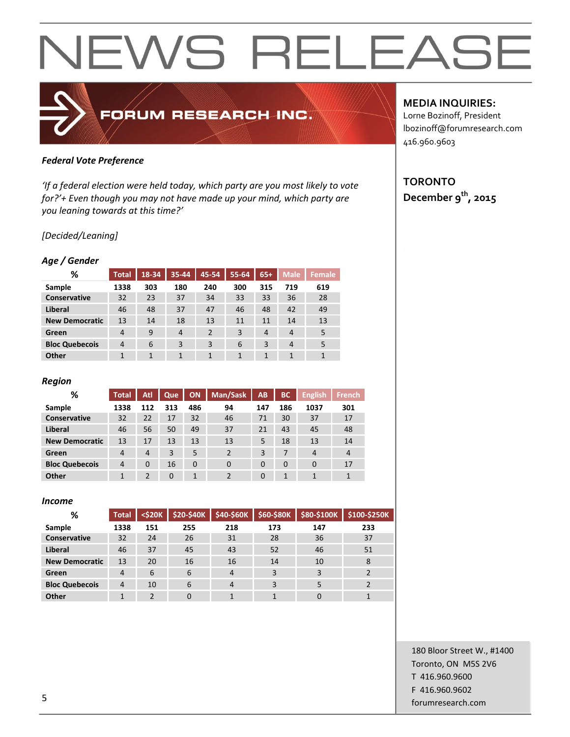### *Federal Vote Preference*

*'If a federal election were held today, which party are you most likely to vote for?'+ Even though you may not have made up your mind, which party are you leaning towards at this time?'*

FORUM RESEARCH INC.

#### *[Decided/Leaning]*

#### *Age / Gender*

| <b>Total</b>   | 18-34 | 35-44          | 45-54          | 55-64        | $65+$ | <b>Male</b>    | <b>Female</b> |
|----------------|-------|----------------|----------------|--------------|-------|----------------|---------------|
| 1338           | 303   | 180            | 240            | 300          | 315   | 719            | 619           |
| 32             | 23    | 37             | 34             | 33           | 33    | 36             | 28            |
| 46             | 48    | 37             | 47             | 46           | 48    | 42             | 49            |
| 13             | 14    | 18             | 13             | 11           | 11    | 14             | 13            |
| 4              | 9     | $\overline{4}$ | $\overline{2}$ | 3            | 4     | 4              | 5             |
| $\overline{4}$ | 6     | 3              | 3              | 6            | 3     | $\overline{4}$ | 5             |
| 1              | 1     | 1              | 1              | $\mathbf{1}$ | 1     | 1              | $\mathbf{1}$  |
|                |       |                |                |              |       |                |               |

#### *Region*

| %                     | <b>Total</b>   | Atl            | Que      | <b>ON</b> | Man/Sask       | AB       | <b>BC</b> | <b>English</b> | <b>French</b> |
|-----------------------|----------------|----------------|----------|-----------|----------------|----------|-----------|----------------|---------------|
| Sample                | 1338           | 112            | 313      | 486       | 94             | 147      | 186       | 1037           | 301           |
| <b>Conservative</b>   | 32             | 22             | 17       | 32        | 46             | 71       | 30        | 37             | 17            |
| Liberal               | 46             | 56             | 50       | 49        | 37             | 21       | 43        | 45             | 48            |
| <b>New Democratic</b> | 13             | 17             | 13       | 13        | 13             | 5        | 18        | 13             | 14            |
| Green                 | 4              | $\overline{4}$ | 3        | 5         | $\overline{2}$ | 3        | 7         | $\overline{4}$ | 4             |
| <b>Bloc Quebecois</b> | $\overline{4}$ | $\Omega$       | 16       | 0         | $\Omega$       | $\Omega$ | $\Omega$  | $\Omega$       | 17            |
| Other                 |                | $\mathcal{P}$  | $\Omega$ | 1         |                | $\Omega$ |           |                | 1             |

#### *Income*

| %                     | <b>Total</b> | $<$ \$20 $K$ | <b>\$20-\$40K</b> | \$40-\$60K     | \$60-\$80K | \$80-\$100K | \$100-\$250K |
|-----------------------|--------------|--------------|-------------------|----------------|------------|-------------|--------------|
| Sample                | 1338         | 151          | 255               | 218            | 173        | 147         | 233          |
| Conservative          | 32           | 24           | 26                | 31             | 28         | 36          | 37           |
| Liberal               | 46           | 37           | 45                | 43             | 52         | 46          | 51           |
| <b>New Democratic</b> | 13           | 20           | 16                | 16             | 14         | 10          | 8            |
| Green                 | 4            | 6            | 6                 | $\overline{4}$ |            | 3           |              |
| <b>Bloc Quebecois</b> | 4            | 10           | 6                 | 4              |            | 5           |              |
| Other                 |              | ∍            | $\Omega$          |                |            |             |              |

#### **MEDIA INQUIRIES:**

Lorne Bozinoff, President lbozinoff@forumresearch.com 416.960.9603

### **TORONTO December 9th, 2015**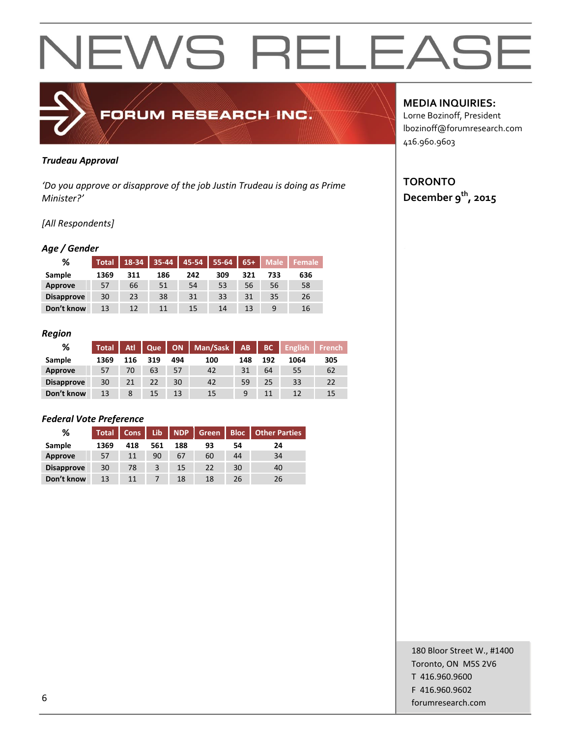

#### *Trudeau Approval*

*'Do you approve or disapprove of the job Justin Trudeau is doing as Prime Minister?'*

#### *[All Respondents]*

#### *Age / Gender*

| %                 | <b>Total</b> | 18-34 | 35-44 | 45-54 | 55-64 | $65+$ | Male | <b>Female</b> |
|-------------------|--------------|-------|-------|-------|-------|-------|------|---------------|
| Sample            | 1369         | 311   | 186   | 242   | 309   | 321   | 733  | 636           |
| Approve           | 57           | 66    | 51    | 54    | 53    | 56    | 56   | 58            |
| <b>Disapprove</b> | 30           | 23    | 38    | 31    | 33    | 31    | 35   | 26            |
| Don't know        | 13           | 12    | 11    | 15    | 14    | 13    |      | 16            |

#### *Region*

| %                 | <b>Total</b> | <b>Atl.</b> | Que             | <b>ON</b> | Man/Sask   AB |     | BC  | <b>English</b> | <b>French</b> |
|-------------------|--------------|-------------|-----------------|-----------|---------------|-----|-----|----------------|---------------|
| Sample            | 1369         | 116         | 319             | 494       | 100           | 148 | 192 | 1064           | 305           |
| Approve           | 57           | 70          | 63              | 57        | 42            | 31  | 64  | 55             | 62            |
| <b>Disapprove</b> | 30           | 21          | 22              | 30        | 42            | 59  | 25  | 33             | 22            |
| Don't know        | 13           | 8           | 15 <sup>5</sup> | 13        | 15            | 9   | 11  | 12             | 15            |

#### *Federal Vote Preference*

| %                 | <b>Total</b> | Cons | <b>Lib</b> | <b>NDP</b> | Green | <b>Bloc</b> | <b>Other Parties</b> |
|-------------------|--------------|------|------------|------------|-------|-------------|----------------------|
| Sample            | 1369         | 418  | 561        | 188        | 93    | 54          | 24                   |
| Approve           | 57           | 11   | 90         | 67         | 60    | 44          | 34                   |
| <b>Disapprove</b> | 30           | 78   |            | 15         | 22    | 30          | 40                   |
| Don't know        | 13           | 11   |            | 18         | 18    | 26          | 26                   |

#### **MEDIA INQUIRIES:**

Lorne Bozinoff, President lbozinoff@forumresearch.com 416.960.9603

#### **TORONTO December 9th, 2015**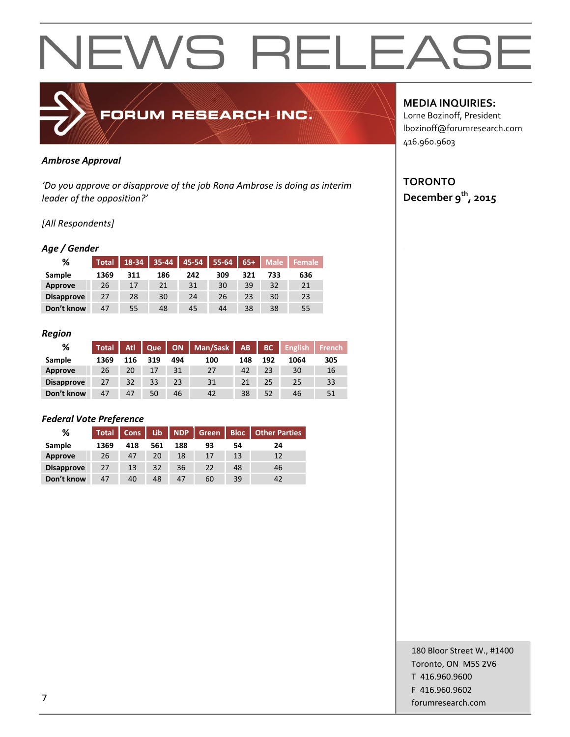

#### *Ambrose Approval*

*'Do you approve or disapprove of the job Rona Ambrose is doing as interim leader of the opposition?'*

#### *[All Respondents]*

#### *Age / Gender*

| %                 | <b>Total</b> | 18-34 | 35-44 | 45-54 | 55-64 | $65+$ | Male | Female |
|-------------------|--------------|-------|-------|-------|-------|-------|------|--------|
| Sample            | 1369         | 311   | 186   | 242   | 309   | 321   | 733  | 636    |
| Approve           | 26           | 17    | 21    | 31    | 30    | 39    | 32   | 21     |
| <b>Disapprove</b> | 27           | 28    | 30    | 24    | 26    | 23    | 30   | 23     |
| Don't know        | 47           | 55    | 48    | 45    | 44    | 38    | 38   | 55     |

#### *Region*

| %                 | <b>Total</b> | <b>Atl.</b> | Que |     | ON   Man/Sask   AB |     | BC  | <b>English</b> | <b>French</b> |
|-------------------|--------------|-------------|-----|-----|--------------------|-----|-----|----------------|---------------|
| Sample            | 1369         | 116         | 319 | 494 | 100                | 148 | 192 | 1064           | 305           |
| Approve           | 26           | 20          | 17  | 31  | 27                 | 42  | 23  | 30             | 16            |
| <b>Disapprove</b> | 27           | 32          | 33  | 23  | 31                 | 21  | 25  | 25             | 33            |
| Don't know        | 47           | 47          | 50  | 46  | 42                 | 38  | 52  | 46             | 51            |

#### *Federal Vote Preference*

| %                 | <b>Total</b> | Cons | Lib. | <b>NDP</b> | <b>Green</b> | <b>Bloc</b> | <b>Other Parties</b> |
|-------------------|--------------|------|------|------------|--------------|-------------|----------------------|
| Sample            | 1369         | 418  | 561  | 188        | 93           | 54          | 24                   |
| Approve           | 26           | 47   | 20   | 18         | 17           | 13          | 12                   |
| <b>Disapprove</b> | 27           | 13   | 32   | 36         | 22           | 48          | 46                   |
| Don't know        | 47           | 40   | 48   | 47         | 60           | 39          | 42                   |

#### **MEDIA INQUIRIES:**

Lorne Bozinoff, President lbozinoff@forumresearch.com 416.960.9603

#### **TORONTO December 9th, 2015**